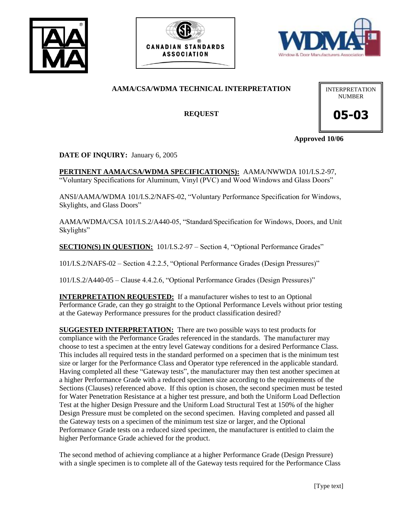





# **AAMA/CSA/WDMA TECHNICAL INTERPRETATION**

**REQUEST**

INTERPRETATION NUMBER

**05-03**

**Approved 10/06**

**DATE OF INQUIRY:** January 6, 2005

**PERTINENT AAMA/CSA/WDMA SPECIFICATION(S):** AAMA/NWWDA 101/I.S.2-97, "Voluntary Specifications for Aluminum, Vinyl (PVC) and Wood Windows and Glass Doors"

ANSI/AAMA/WDMA 101/I.S.2/NAFS-02, "Voluntary Performance Specification for Windows, Skylights, and Glass Doors"

AAMA/WDMA/CSA 101/I.S.2/A440-05, "Standard/Specification for Windows, Doors, and Unit Skylights"

**SECTION(S) IN QUESTION:** 101/I.S.2-97 – Section 4, "Optional Performance Grades"

101/I.S.2/NAFS-02 – Section 4.2.2.5, "Optional Performance Grades (Design Pressures)"

101/I.S.2/A440-05 – Clause 4.4.2.6, "Optional Performance Grades (Design Pressures)"

**INTERPRETATION REQUESTED:** If a manufacturer wishes to test to an Optional Performance Grade, can they go straight to the Optional Performance Levels without prior testing at the Gateway Performance pressures for the product classification desired?

**SUGGESTED INTERPRETATION:** There are two possible ways to test products for compliance with the Performance Grades referenced in the standards. The manufacturer may choose to test a specimen at the entry level Gateway conditions for a desired Performance Class. This includes all required tests in the standard performed on a specimen that is the minimum test size or larger for the Performance Class and Operator type referenced in the applicable standard. Having completed all these "Gateway tests", the manufacturer may then test another specimen at a higher Performance Grade with a reduced specimen size according to the requirements of the Sections (Clauses) referenced above. If this option is chosen, the second specimen must be tested for Water Penetration Resistance at a higher test pressure, and both the Uniform Load Deflection Test at the higher Design Pressure and the Uniform Load Structural Test at 150% of the higher Design Pressure must be completed on the second specimen. Having completed and passed all the Gateway tests on a specimen of the minimum test size or larger, and the Optional Performance Grade tests on a reduced sized specimen, the manufacturer is entitled to claim the higher Performance Grade achieved for the product.

The second method of achieving compliance at a higher Performance Grade (Design Pressure) with a single specimen is to complete all of the Gateway tests required for the Performance Class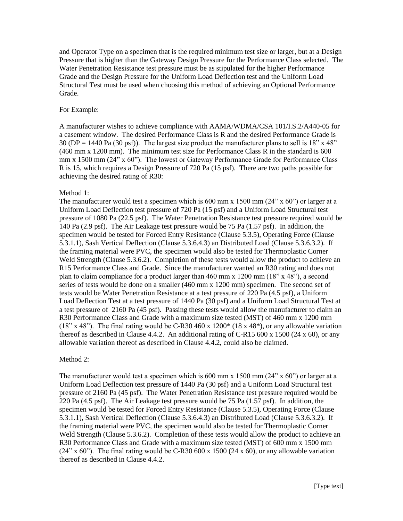and Operator Type on a specimen that is the required minimum test size or larger, but at a Design Pressure that is higher than the Gateway Design Pressure for the Performance Class selected. The Water Penetration Resistance test pressure must be as stipulated for the higher Performance Grade and the Design Pressure for the Uniform Load Deflection test and the Uniform Load Structural Test must be used when choosing this method of achieving an Optional Performance Grade.

#### For Example:

A manufacturer wishes to achieve compliance with AAMA/WDMA/CSA 101/I.S.2/A440-05 for a casement window. The desired Performance Class is R and the desired Performance Grade is 30 (DP = 1440 Pa (30 psf)). The largest size product the manufacturer plans to sell is  $18"$  x  $48"$ (460 mm x 1200 mm). The minimum test size for Performance Class R in the standard is 600 mm x 1500 mm (24" x 60"). The lowest or Gateway Performance Grade for Performance Class R is 15, which requires a Design Pressure of 720 Pa (15 psf). There are two paths possible for achieving the desired rating of R30:

### Method 1:

The manufacturer would test a specimen which is 600 mm x 1500 mm  $(24" \times 60")$  or larger at a Uniform Load Deflection test pressure of 720 Pa (15 psf) and a Uniform Load Structural test pressure of 1080 Pa (22.5 psf). The Water Penetration Resistance test pressure required would be 140 Pa (2.9 psf). The Air Leakage test pressure would be 75 Pa (1.57 psf). In addition, the specimen would be tested for Forced Entry Resistance (Clause 5.3.5), Operating Force (Clause 5.3.1.1), Sash Vertical Deflection (Clause 5.3.6.4.3) an Distributed Load (Clause 5.3.6.3.2). If the framing material were PVC, the specimen would also be tested for Thermoplastic Corner Weld Strength (Clause 5.3.6.2). Completion of these tests would allow the product to achieve an R15 Performance Class and Grade. Since the manufacturer wanted an R30 rating and does not plan to claim compliance for a product larger than  $460$  mm x  $1200$  mm  $(18" \times 48")$ , a second series of tests would be done on a smaller (460 mm x 1200 mm) specimen. The second set of tests would be Water Penetration Resistance at a test pressure of 220 Pa (4.5 psf), a Uniform Load Deflection Test at a test pressure of 1440 Pa (30 psf) and a Uniform Load Structural Test at a test pressure of 2160 Pa (45 psf). Passing these tests would allow the manufacturer to claim an R30 Performance Class and Grade with a maximum size tested (MST) of 460 mm x 1200 mm  $(18" x 48")$ . The final rating would be C-R30 460 x  $1200^*$  (18 x 48<sup>\*</sup>), or any allowable variation thereof as described in Clause 4.4.2. An additional rating of C-R15 600 x 1500 (24 x 60), or any allowable variation thereof as described in Clause 4.4.2, could also be claimed.

### Method 2:

The manufacturer would test a specimen which is 600 mm x 1500 mm  $(24" \times 60")$  or larger at a Uniform Load Deflection test pressure of 1440 Pa (30 psf) and a Uniform Load Structural test pressure of 2160 Pa (45 psf). The Water Penetration Resistance test pressure required would be 220 Pa (4.5 psf). The Air Leakage test pressure would be 75 Pa (1.57 psf). In addition, the specimen would be tested for Forced Entry Resistance (Clause 5.3.5), Operating Force (Clause 5.3.1.1), Sash Vertical Deflection (Clause 5.3.6.4.3) an Distributed Load (Clause 5.3.6.3.2). If the framing material were PVC, the specimen would also be tested for Thermoplastic Corner Weld Strength (Clause 5.3.6.2). Completion of these tests would allow the product to achieve an R30 Performance Class and Grade with a maximum size tested (MST) of 600 mm x 1500 mm  $(24" \times 60")$ . The final rating would be C-R30 600 x 1500 (24 x 60), or any allowable variation thereof as described in Clause 4.4.2.